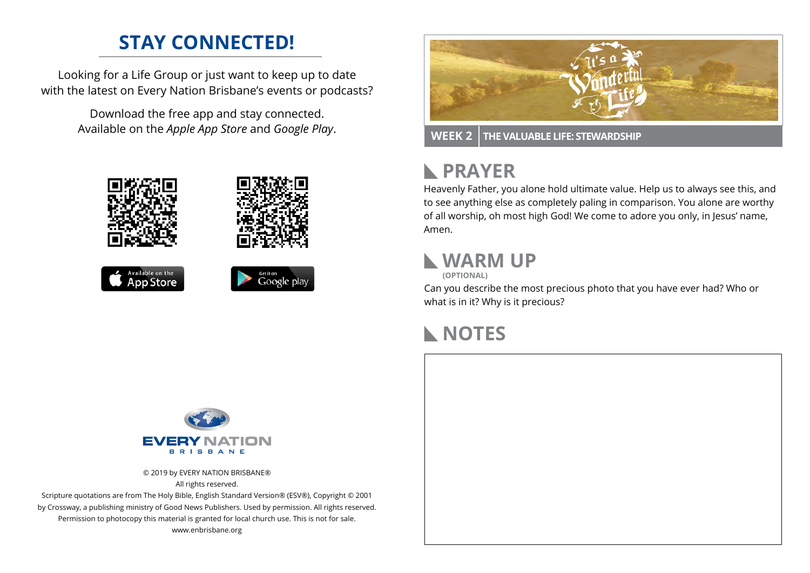## **STAY CONNECTED!**

Looking for a Life Group or just want to keep up to date with the latest on Every Nation Brisbane's events or podcasts?

> Download the free app and stay connected. Available on the *Apple App Store* and *Google Play*.





**WEEK 2 THE VALUABLE LIFE: STEWARDSHIP**

#### **PRAYER**  $\mathbb{R}$

Heavenly Father, you alone hold ultimate value. Help us to always see this, and to see anything else as completely paling in comparison. You alone are worthy of all worship, oh most high God! We come to adore you only, in Jesus' name, Amen.

### **WARM UP**

**(OPTIONAL)**

Can you describe the most precious photo that you have ever had? Who or what is in it? Why is it precious?

# **NOTES**



© 2019 by EVERY NATION BRISBANE® All rights reserved.

Scripture quotations are from The Holy Bible, English Standard Version® (ESV®), Copyright © 2001 by Crossway, a publishing ministry of Good News Publishers. Used by permission. All rights reserved. Permission to photocopy this material is granted for local church use. This is not for sale. www.enbrisbane.org